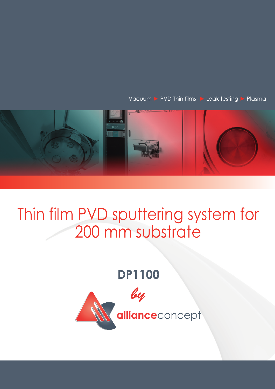Vacuum > PVD Thin films > Leak testing > Plasma



## Thin film PVD sputtering system for 200 mm substrate

## **DP1100**